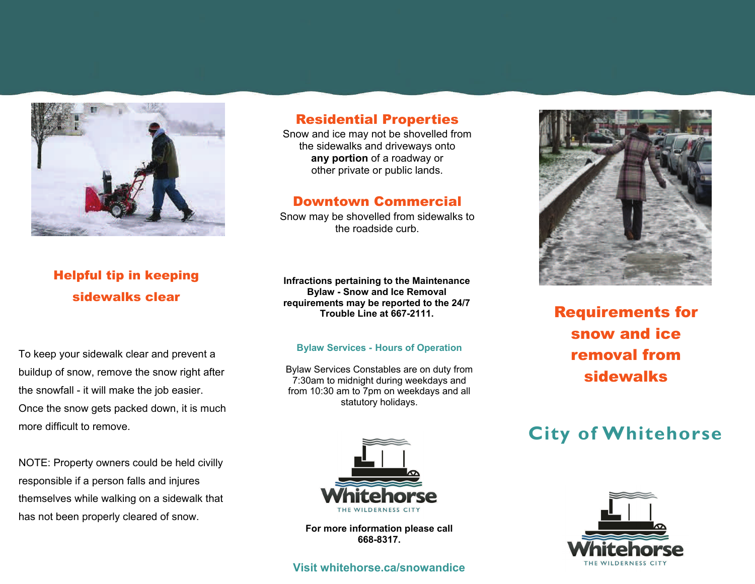

## Residential Properties

Snow and ice may not be shovelled from the sidewalks and driveways onto **any portion** of a roadway or other private or public lands.

### Downtown Commercial

Snow may be shovelled from sidewalks to the roadside curb.

# Helpful tip in keeping sidewalks clear

To keep your sidewalk clear and prevent a buildup of snow, remove the snow right after the snowfall - it will make the job easier. Once the snow gets packed down, it is much more difficult to remove.

NOTE: Property owners could be held civilly responsible if a person falls and injures themselves while walking on a sidewalk that has not been properly cleared of snow.

**Infractions pertaining to the Maintenance Bylaw - Snow and Ice Removal requirements may be reported to the 24/7 Trouble Line at 667-2111.** 

#### **Bylaw Services - Hours of Operation**

Bylaw Services Constables are on duty from 7:30am to midnight during weekdays and from 10:30 am to 7pm on weekdays and all statutory holidays.



**For more information please call 668-8317.** 

### **Visit whitehorse.ca/snowandice**



Requirements for snow and ice removal from sidewalks

# **City of Whitehorse**